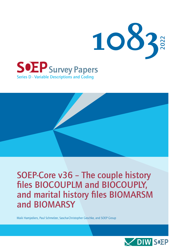

## SOEP-Core v36 – The couple history files BIOCOUPLM and BIOCOUPLY, and marital history files BIOMARSM and BIOMARSY

Maik Hamjediers, Paul Schmelzer, Sascha-Christopher Geschke, and SOEP Group

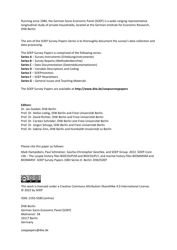Running since 1984, the German Socio-Economic Panel (SOEP) is a wide-ranging representative longitudinal study of private households, located at the German Institute for Economic Research, DIW Berlin.

The aim of the SOEP Survey Papers Series is to thoroughly document the survey's data collection and data processing.

The SOEP Survey Papers is comprised of the following series:

**Series A** – Survey Instruments (Erhebungsinstrumente)

- **Series B** Survey Reports (Methodenberichte)
- **Series C** Data Documentation (Datendokumentationen)
- **Series D** Variable Descriptions and Coding
- **Series E** SOEPmonitors
- **Series F** SOEP Newsletters
- **Series G** General Issues and Teaching Materials

The SOEP Survey Papers are available at **http://www.diw.de/soepsurveypapers**

#### **Editors:**

Dr. Jan Goebel, DIW Berlin Prof. Dr. Stefan Liebig, DIW Berlin and Freie Universität Berlin Prof. Dr. David Richter, DIW Berlin and Freie Universität Berlin Prof. Dr. Carsten Schröder, DIW Berlin and Freie Universität Berlin Prof. Dr. Jürgen Schupp, DIW Berlin and Freie Universität Berlin Prof. Dr. Sabine Zinn, DIW Berlin and Humboldt Universität zu Berlin

Please cite this paper as follows:

Maik Hamjediers, Paul Schmelzer, Sascha-Christopher Geschke, and SOEP Group. 2022. SOEP-Core v36 – The couple history files BIOCOUPLM and BIOCOUPLY, and marital history files BIOMARSM and BIOMARSY. SOEP Survey Papers 1083 Series D. Berlin: DIW/SOEP



This work is licensed under [a Creative Commons Attribution-ShareAlike 4.0 International License.](http://creativecommons.org/licenses/by-sa/4.0/) © 2022 by SOEP

ISSN: 2193-5580 (online)

DIW Berlin German Socio-Economic Panel (SOEP) Mohrenstr. 58 10117 Berlin Germany

[soeppapers@diw.de](mailto:soeppapers@diw.de)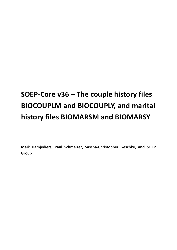# **SOEP-Core v36 – The couple history files BIOCOUPLM and BIOCOUPLY, and marital history files BIOMARSM and BIOMARSY**

**Maik Hamjediers, Paul Schmelzer, Sascha-Christopher Geschke, and SOEP Group**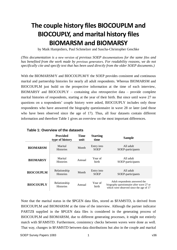## **The couple history files BIOCOUPLM and BIOCOUPLY, and marital history files BIOMARSM and BIOMARSY**

by Maik Hamjediers, Paul Schmelzer and Sascha-Christopher Geschke

*(This documentation is a new version of previous SOEP documentations for the same files and has benefited from the work made by previous generators. For readability reasons, we do not specifically cite and specify text that has been used directly from the older SOEP documents.)*

With the BIOMARSM/Y and BIOCOUPLM/Y the SOEP provides consistent and continuous marital and partnership histories for nearly all adult respondents. Whereas BIOMARSM and BIOCOUPLM just build on the prospective information at the time of each interview, BIOMARSY and BIOCOUPLY – containing also retrospective data – provide complete marital histories of respondents, starting at the year of their birth. But since until wave 27 no questions on a respondents' couple history were asked, BIOCOUPLY includes only those respondents who have answered the biography questionnaire in wave 28 or later (and those who have been observed since the age of 17). Thus, all four datasets contain different information and therefore Table 1 gives an overview on the most important differences.

|                  | Provided<br>type of history      | <b>Time</b><br>unit | <b>Starting</b><br>time   | <b>Sample</b>                                                                                                         |
|------------------|----------------------------------|---------------------|---------------------------|-----------------------------------------------------------------------------------------------------------------------|
| <b>BIOMARSM</b>  | Marital<br><b>Histories</b>      | Month               | Entry into<br><b>SOEP</b> | All adult<br>SOEP-participants                                                                                        |
| <b>BIOMARSY</b>  | Marital<br><b>Histories</b>      | Annual              | Year of<br>birth          | All adult<br>SOEP-participants                                                                                        |
| <b>BIOCOUPLM</b> | Relationship<br><b>Histories</b> | Month               | Entry into<br><b>SOEP</b> | All adult<br>SOEP-participants                                                                                        |
| <b>BIOCOUPLY</b> | Relationship<br><b>Histories</b> | Annual              | Year of<br>birth          | Adult respondents answered the<br>biography questionnaire after wave 27 or<br>which were observed since the age of 17 |

| Table 1: Overview of the datasets |
|-----------------------------------|
|-----------------------------------|

Note that the marital status in the \$PGEN data files, stored as \$FAMSTD, is derived from BIOCOUPLM and BIOMARSM at the time of the interview. Although the partner indicator PARTZ\$ supplied in the \$PGEN data files is considered in the generating process of BIOCOUPLM and BIOMARSM, due to different generating processes, it might not entirely match with \$FAMSTD. Furthermore, consistency checks between waves were done as well. That way, changes in \$FAMSTD between data distributions but also in the couple and marital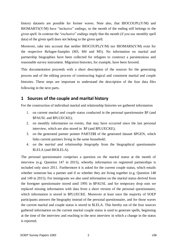history datasets are possible for former waves. Note also, that BIOCOUPL(Y/M) and  $B IOMARTS(Y/M)$  have "inclusive" endings, so the month of the ending still belongs to the given spell. In contrast the "exclusive" endings imply that the month (if you use monthly spell data) of the given spell does not belong to the given spell.

Moreover, take into account that neither BIOCOUPL(Y/M) nor BIOMARS(Y/M) exist for the respective Refugee-Samples (M3, M4 and M5). No information on marital and partnership biographies have been collected for refugees to construct a parsimonious and reasonable survey instrument. Migration histories, for example, have been favored.

This documentation proceeds with a short description of the sources for the generating process and of the editing process of constructing logical and consistent marital and couple histories. These steps are important to understand the description of the four data files following in the next parts.

## **1 Sources of the couple and marital history**

For the construction of individual marital and relationship histories we gathered information

- 1. on current marital *and couple* status conducted in the personal questionnaire \$P (and \$PAUSL and \$PLUECKE);
- 2. on monthly information on events, that may have occurred since the last personal interview, which are also stored in \$P (and \$PLUECKE);
- 3. on the generated partner pointer PARTZ\$\$ of the generated dataset \$PGEN, which links current partners living in the same household;
- 4. on the *marital and relationship biography* from the biographical questionnaire \$LELA (and BIOLELA).

The personal questionnaire comprises a question on the marital status at the month of interview (e.g. Question 147 in 2015), whereby information on registered partnerships is included only since 2011. Furthermore it is asked for the current couple status, which entails whether someone has a partner and if so whether they are living together (e.g. Question 148 and 149 in 2015). For immigrants we also used information on the marital status derived from the foreigner questionnaire stored until 1995 in \$PAUSL and for temporary drop outs we replaced missing information with data from a short version of the personal questionnaire, which information is stored in \$PLUECKE. Moreover at least once the majority of SOEP participants answers the biography instead of the personal questionnaire, and for those waves the current marital and couple status is stored in \$LELA. This hereby out of the four sources gathered information on the current marital couple status is used to generate spells, beginning at the time of the interview and reaching to the next interview in which a change in the status is reported.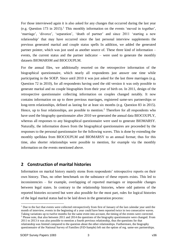For those interviewed again it is also asked for any changes that occurred during the last year (e.g. Question 173 in 2015).<sup>1</sup> This monthly information on the events 'moved in together', 'marriage', 'divorce', 'separation', 'death of partner' and since 2011 'starting a new relationship' that may have occurred since the last personal interview supplements the previous generated marital and couple status spells In addition, we added the generated partner pointer, which was just used as another source of. These three kind of information – events, the current status and the partner indicator – were used to generate the monthly datasets BIOMARSM and BIOCOUPLM.

For the annual files, we additionally resorted on the retrospective information of the biographical questionnaire, which nearly all respondents just answer one time while participating in the SOEP. Since until 2010 it was just asked for the last three marriages (e.g. Question 72 in 2010), for all respondents having used the old version it was only possible to generate marital and no couple biographies from their year of birth on. In 2011, design of the retrospective questionnaire collecting information on couples changed notably. It now contains information on up to three previous marriages, registered same-sex partnerships or long-term relationships, defined as lasting for at least six months (e.g. Question 83 in 2015). Hence, up to four relationships, are possible to mention.<sup>2</sup> Therefore for all respondents who have used the biography questionnaire after 2010 we generated the annual data BIOCOUPLY, whereas all responses to any biographical questionnaire were used to generate BIOMARSY. Naturally, the information drawn from the biographical questionnaires are proceeded by the responses to the personal questionnaire for the following waves. This is done by extending the monthly spelldata from BIOCOUPLM and BIOMARSY to an annual format; thus for this time, also shorter relationships were possible to mention, for example via the monthly information on the events mentioned above.

### **2 Construction of marital histories**

Information on marital history mainly stems from respondents' retrospective reports on their own history. Thus, no other benchmark on the substance of these reports exists. This led to inconsistencies – for example, overlapping of reported marriages or impossible changes between legal states. In contrary to the relationship histories, where odd patterns of the reported histories occurred but were also possible for the most part, rules for logical histories of the legal marital status had to be laid down in the generation process:

<u>.</u>

<sup>&</sup>lt;sup>1</sup> Due to the fact that events were collected retrospectively from first of January of the last calendar year until the month of interview, events in the beginning of a year could have been reported twice in two consecutive waves.

Taking variations up to twelve months for the same event into account, the timing of the events were corrected. <sup>2</sup> Please note, that also between 2011 and 2014 the questions of the biography questionnaire were changed. From 2011 to 2013 it was also possible to mention a fourth previous relationship, thus the questions for that relationship was limited compared to the question about the other relationships. Furthermore, the biography

questionnaire of the National Survey of Families (FiD-Sample) left out the option of reg. same-sex partnerships.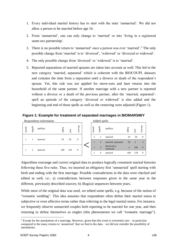- 1. Every individual marital history has to start with the state 'unmarried'. We did not allow a person to be married before age 16.
- 2. From 'unmarried', one can only change to 'married' or into 'living in a registered same-sex partnership'.
- 3. There is no possible return to 'unmarried' once a person was ever 'married'.<sup>3</sup> The only possible change from 'married' is to 'divorced', 'widowed' or 'divorced or widowed'.
- 4. The only possible change from 'divorced' or 'widowed' is to 'married'.
- 5. Reported separations of married spouses are taken into account as well. This led to the new category 'married, separated' which is coherent with the BIOCOUPL datasets and contains the time from a separation until a divorce or death of the respondent's spouse. Yet, this rule was not applied for move-outs and later returns into the household of the same partner. If another marriage with a new partner is reported without a divorce or a death of the previous partner, after the 'married, separated' spell an episode of the category 'divorced or widowed' is also added and the beginning and end of those spells as well as the censoring were adjusted (Figure 1).

**Figure 1: Example for treatment of separated marriages in BIOMARSM/Y**

|        |         | Respondents information | Added spells |     |         |  |        |         |                        |       |      |              |
|--------|---------|-------------------------|--------------|-----|---------|--|--------|---------|------------------------|-------|------|--------------|
| persnr | spellnr | spelltyp                | begin        | end | divorce |  | persnr | spellnr | spelltyp               | begin | end  | divorce      |
|        |         | married                 | 10           | 50  | 0       |  |        |         | married                | 10    | 50   | $\Omega$     |
|        |         |                         |              |     |         |  |        | 2       | married, separated     | 50    | $-1$ | $\mathbf{I}$ |
|        | 2       | married                 | 100          | 150 | 0       |  |        | 3       | divorced or<br>widowed | - 1   | 100  | $\Omega$     |
|        |         |                         |              |     |         |  |        | 4       | married                | 100   | 150  | $\theta$     |

Algorithms rearrange and correct original data to produce logically consistent marital histories following these five rules. Thus, we inserted an obligatory first 'unmarried' spell starting with birth and ending with the first marriage. Possible contradictions in the data were checked and edited as well, i.e.: a) contradictions between responses given in the same year in the different, previously described sources; b) illogical sequences between years.

While most of the original data was used, we edited some spells, e.g. because of the notion of "romantic wedding". This idea assumes that respondents often define their marital status in subjective or even affective terms rather than referring to the legal marital status. For instance, we frequently observe unmarried couples both reporting to be married for one year, and then returning to define themselves as singles (this phenomenon we call "romantic marriage").

<u>.</u>

<sup>3</sup> Except for the annulations of a marriage. However, given that this event is extremely rare – in particular compared to the many returns to 'unmarried' that we find in the data – we did not consider the possibility of annulations.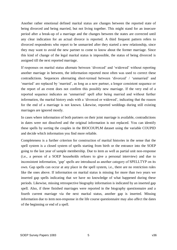Another rather emotional defined marital status are changes between the reported state of being divorced and being married, but not living together. This might stand for an insecure period after a break-up of a marriage and the changes between the states are corrected until any clear indication for an actual divorce is reported. A third frequent pattern refers to divorced respondents who report to be unmarried after they started a new relationship, since they may want to avoid the new partner to come to know about the former marriage. Since this kind of change of the legal marital status is impossible, the status of being divorced is assigned till the next reported marriage.

If responses on marital status alternate between 'divorced' and 'widowed' without reporting another marriage in between, the information reported most often was used to correct these contradictions. Sequences alternating short-termed between 'divorced' / 'unmarried' and 'married' are replaced by 'married', as long as a new partner, a longer consistent sequence or the report of an event does not confirm this possibly new marriage. If the very end of a reported sequence indicates an 'unmarried' spell after being married and without further information, the marital history ends with a 'divorced or widowed', indicating that the reason for the end of a marriage is not known. Likewise, reported weddings during still existing marriages are ignored mostly.

In cases where information of both partners on their joint marriage is available, contradictions in dates were not dissolved and the original information is not replaced. You can identify these spells by sorting the couples in the BIOCOUPLM dataset using the variable COUPID and decide which information you find more reliable.

Completeness is a further criterion for construction of marital histories in the sense that the spell system is a closed system of spells starting from birth or the entrance into the SOEP going to the last year of sample membership. Due to item as well as partial unit non-response (i.e., a person of a SOEP households refuses to give a personal interview) and due to inconsistent information, 'gap' spells are introduced as another category of SPELLTYP on its own. Gap spells can occur at any place in the spell system, i.e., there are no restriction rules like the ones above. If information on marital status is missing for more than two years we inserted gap spells indicating that we have no knowledge of what happened during these periods. Likewise, missing retrospective biography information is indicated by an inserted gap spell. Also, if three finished marriages were reported in the biography questionnaire and a fourth current marriage via the next marital status, another gap is inserted. Missing information due to item non-response in the life course questionnaire may also affect the dates of the beginning or end of a spell.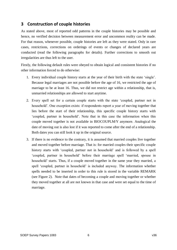## **3 Construction of couple histories**

As stated above, most of reported odd patterns in the couple histories may be possible and hence, no verified decision between measurement error and uncommon reality can be made. For that reason, whenever possible, couple histories are left as they were stated. Only in rare cases, restrictions, corrections on orderings of events or changes of declared years are conducted (read the following paragraphs for details). Further corrections to smooth out irregularities are thus left to the user.

Firstly, the following default rules were obeyed to obtain logical and consistent histories if no other information forced to do otherwise:

- 1. Every individual couple history starts at the year of their birth with the state 'single'. Because legal marriages are not possible before the age of 16, we restricted the age of marriage to be at least 16. Thus, we did not restrict age within a relationship, that is, unmarried relationships are allowed to start anytime.
- 2. Every spell set for a certain couple starts with the state 'coupled, partner not in household'. One exception exists: if respondents report a year of moving together that lies before the start of their relationship, this specific couple history starts with 'coupled, partner in household'. Note that in this case the information when this couple moved together is not available in BIOCOUPLM/Y anymore. Analogical the date of moving out is also lost if it was reported to come after the end of a relationship. Both dates you can still look it up in the original source.
- 3. If there is no evidence to the contrary, it is assumed that married couples live together and moved together before marriage. That is: for married couples their specific couple history starts with 'coupled, partner not in household' and is followed by a spell 'coupled, partner in household' before their marriage spell 'married, spouse in household' starts. Thus, if a couple moved together in the same year they married, a spell 'coupled, partner in household' is included anyway. The information whether spells needed to be inserted in order to this rule is stored in the variable REMARK (see Figure 2). Note that dates of becoming a couple and moving together or whether they moved together at all are not known in that case and were set equal to the time of marriage.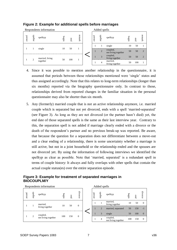

#### **Figure 2: Example for additional spells before marriages**

- 4. Since it was possible to mention another relationship in the questionnaire, it is assumed that periods between those relationships mentioned were 'single' states and thus assigned accordingly. Note that this relates to long-term relationships (longer than six months) reported via the biography questionnaire only. In contrast to those, relationships derived from reported changes in the familiar situation in the personal questionnaire may also be shorter than six month.
- 5. Any (formerly) married couple that is not an active relationship anymore, i.e. married couple which is separated but not yet divorced, ends with a spell 'married-separated' (see Figure 3). As long as they are not divorced (or the partner hasn't died) yet, the end date of those separated spells is the same as their last interview year. Contrary to this, the separation spell is not added if marriage clearly ended with a divorce or the death of the respondent's partner and no previous break-up was reported. Be aware, that because the question for a separation does not differentiate between a move-out and a clear ending of a relationship, there is some uncertainty whether a marriage is still active, but not in a joint household or the relationship ended and the spouses are not divorced yet. By using the information of following interviews we identified the spelltyp as clear as possible. Note that 'married, separated' is a redundant spell in terms of couple history: It always and fully overlaps with other spells that contain the actual couple status(es) over the entire separation episode.

#### **Figure 3: Example for treatment of separated marriages in BIOCOUPLM/Y**

Respondents information Added

| persm | spellnr                     | spelltyp                        | $begin{bmatrix} 1 \\ 2 \\ 3 \end{bmatrix}$ | end | divorce |
|-------|-----------------------------|---------------------------------|--------------------------------------------|-----|---------|
|       |                             | married.<br>living together     | 10                                         | 50  | 0       |
|       | $\mathcal{D}_{\mathcal{L}}$ | coupled,<br>not living together | 100                                        | 150 | 0       |

|        | Added spells   |                                 |       |     |         |
|--------|----------------|---------------------------------|-------|-----|---------|
| persnr | spellnr        | spelltyp                        | begin | end | divorce |
|        |                | married,<br>living together     | 10    | 50  |         |
|        | $\overline{2}$ | married, separated              | 50    | 150 | $-1$    |
|        | 3              | single                          | 50    | 100 |         |
|        | 4              | coupled,<br>not living together | 100   | 150 |         |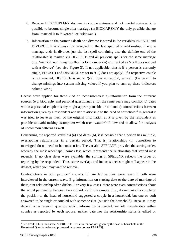- 6. Because BIOCOUPLM/Y documents couple statuses and not marital statuses, it is possible to become single after marriage (in BIOMARSM/Y the only possible change from 'married is to 'divorced' or 'widowed').
- 7. Information on the partner's death or a divorce is stored in the variables PDEATH and DIVORCE. It is always just assigned to the last spell of a relationship; if e.g. a marriage ends in divorce, just the last spell containing also the definite end of the relationship is marked via DIVORCE and all previous spells for the same marriage (e.g. 'married, not living together' before a move-in) are marked as 'spell does not end with a divorce' (see also Figure 3). If not applicable, that is if a person is currently single, PDEATH and DIVORCE are set to '(-2) does not apply'. If a respective couple is not married, DIVORCE is set to '(-2), does not apply', as well. (Be careful to change missings into system missing values if you plan to sum up these indicators column-wise.)

Checks were applied for three kind of inconsistencies: a) information from the different sources (e.g. biography and personal questionnaire) for the same years may conflict, b) dates within a personal couple history might appear plausible or not and c) contradictions between information given by a respondent and her relationship to the head of household. 4 In general it was tried to leave as much of the original information as it is given by the respondent as possible to avoid making assumption which users wouldn't follow and to allow for analyses of uncommon patterns as well.

Concerning the reported status(es) (a) and dates (b), it is possible that a person has multiple, overlapping relationships in a certain period. That is, relationships (in opposition to marriages) do not need to be consecutive. The variable SPELLNR provides the sorting order, whereby the most recent spell comes last, which represents the relationship that started most recently. If no clear dates were available, the sorting in SPELLNR reflects the order of reporting by the respondent. Thus, some overlaps and inconsistencies might still appear in the dataset, which you may want to remove.

Contradictions in both partners' answers (c) are left as they were, even if both were interviewed in the current wave. E.g. information on starting date or the date of marriage of their joint relationship often differs. For very few cases, there were even contradictions about the actual partnership between two individuals in the sample. E.g., if one part of a couple or the position to the head of household suggested a couple in a household, but one or both answered to be single or coupled with someone else (outside the household). Because it may depend on a research question which information is needed, we left irregularities within couples as reported by each spouse; neither date nor the relationship status is edited or

<sup>&</sup>lt;u>.</u> <sup>4</sup> See \$PSTELL in the dataset \$PBRUTTP. This information was given by the head of household in the Household Questionnaire and processed in partner pointer PARTZ\$\$.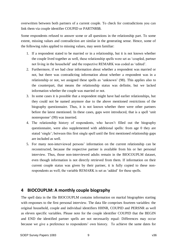overwritten between both partners of a current couple. To check for contradictions you can link them via couple identifier COUPID or PARTNR\$\$.

Some respondents refused to answer some or all questions in the relationship part. To some extent, missing values and contradiction are similar in the generating sense. Hence, some of the following rules applied to missing values, may seem familiar:

- 1. If a respondent stated to be married or in a relationship, but it is not known whether the couple lived together as well, these relationship spells were set as 'coupled, partner not living in the household' and the respective REMARK was coded as 'edited'.
- 2. Furthermore, if we had clear information about whether a respondent was married or not, but there was contradicting information about whether a respondent was in a relationship or not, we assigned these spells as 'unknown' (98). This applies also to the counterpart, that means the relationship status was definite, but we lacked information whether the couple was married or not.
- 3. In some cases it is possible that a respondent might have had earlier relationships, but they could not be named anymore due to the above mentioned restrictions of the biography questionnaire. Thus, it is not known whether there were other partners before the latest mentioned. In these cases, gaps were introduced, that is a spell 'unit nonresponse' (99) was inserted.
- 4. The relationship history of respondents, who haven't filled out the biography questionnaire, were also supplemented with additional spells: from age 0 they are stated 'single'; between this first single spell until the first mentioned relationship gaps are included as well.
- 5. For many non-interviewed persons' information on the current relationship can be reconstructed, because the respective partner is available from his or her personal interview. Thus, those non-interviewed adults remain in the BIOCOUPLM dataset, even though information is not directly retrieved from them. If information on their current couple status was given by their partner, it is fully copied to these nonrespondents as well; the variable REMARK is set as 'added' for these spells.

## **4 BIOCOUPLM: A monthly couple biography**

The spell data in the file BIOCOUPLM contains information on marital biographies starting with responses to the first personal interview. The data file comprises fourteen variables: the original household, couple and individual identifiers HHNR, COUPID and PERSNR as well as eleven specific variables. Please note for the couple identifier COUPID that the BEGIN and END the identified partner spells are not necessarily equal: Differences may occur because we give a preference to respondents' own history. To achieve the same dates for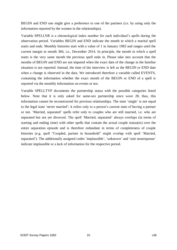BEGIN and END one might give a preference to one of the partners (i.e. by using only the information reported by the women in the relationships).

Variable SPELLNR is a chronological index number for each individual's spells during the observation period. Variables BEGIN and END indicate the month in which a marital spell starts and ends. Monthly histories start with a value of 1 in January 1983 and ranges until the current margin in month 384, i.e., December 2014. In principle, the month in which a spell starts is the very same month the previous spell ends in. Please take into account that the months of BEGIN and END are not imputed when the exact date of the change in the familiar situation is not reported. Instead, the time of the interview is left as the BEGIN or END date when a change is observed in the data. We introduced therefore a variable called EVENTS, containing the information whether the exact month of the BEGIN or END of a spell is reported via the monthly information on events or not.

Variable SPELLTYP documents the partnership status with the possible categories listed below. Note that it is only asked for same-sex partnership since wave 28, thus, this information cannot be reconstructed for previous relationships. The state 'single' is not equal to the legal state 'never married'; it refers only to a person's current state of having a partner or not. 'Married, separated' spells refer only to couples who are still married, i.e. who are separated but not yet divorced. The spell 'Married, separated' always overlaps (in terms of starting and ending time) with other spells that contain the actual couple status(es) over the entire separation episode and is therefore redundant in terms of completeness of couple histories (e.g. spell "Coupled, partner in household" might overlap with spell 'Married, separated'). The additionally assigned codes 'implausible', 'unknown' and 'unit nonresponse' indicate implausible or a lack of information for the respective period.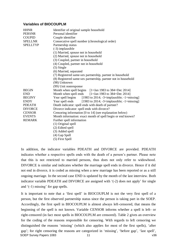#### **Variables of BIOCOUPLM**

| <b>HHNR</b><br><b>PERSNR</b><br><b>COUPID</b><br><b>SPELLNR</b><br><b>SPELLTYP</b>                                                               | Identifier of original sample household<br>Personal identifier<br>Couple identifier<br>Consecutive spell number (chronological order)<br>Partnership status<br>(-3) implausible<br>(1) Married, spouse not in household<br>(2) Married, spouse not in household<br>(3) Coupled, partner in household<br>(4) Coupled, partner not in household<br>$(5)$ Single<br>(6) Married, separated<br>(7) Registered same-sex partnership, partner in household<br>(8) Registered same-sex partnership, partner not in household<br>(98) Unknown                                                                                                         |
|--------------------------------------------------------------------------------------------------------------------------------------------------|-----------------------------------------------------------------------------------------------------------------------------------------------------------------------------------------------------------------------------------------------------------------------------------------------------------------------------------------------------------------------------------------------------------------------------------------------------------------------------------------------------------------------------------------------------------------------------------------------------------------------------------------------|
| <b>BEGIN</b><br><b>END</b><br><b>BEGINY</b><br><b>ENDY</b><br><b>PDEATH</b><br><b>DIVORCE</b><br><b>CENSOR</b><br><b>EVENTS</b><br><b>REMARK</b> | (99) Unit nonresponse<br>Month when spell begins [1=Jan 1983 to 384=Dec 2014]<br>Month when spell ends [1=Jan 1983 to 384=Dec 2014]<br>Year spell begins [1983 to 2014; -3=implausible; -1=missing]<br>Year spell ends $[1983 \text{ to } 2014; -3=$ implausible; $-1=$ missing]<br>Death indicator: spell ends with death of partner?<br>Divorce indicator: spell ends with divorce?<br>Censoring information [0 to 14] (see explanation below)<br>Month information: exact month of spell begin or end known?<br>Further spell information<br>(1) Original spell<br>(2) Edited spell<br>(3) Added spell<br>(4) Gap Spell<br>(5) First Spell |

In addition, the indicator variables PDEATH and DIVORCE are provided. PDEATH indicates whether a respective spells ends with the death of a person's partner. Please note that this is not restricted to married persons, thus does not only refer to widowhood. DIVORCE is similar and indicates whether the marriage spell ends in divorce. Hence if it did not end in divorce, it is coded as missing when a new marriage has been reported or as a still ongoing marriage. In the second case END is updated by the month of the last interview. Both indicator variable PDEATH and DIVORCE are assigned with '(-2) does not apply' for single and '(-1) missing' for gap spells.

It is important to note that a 'first spell' in BIOCOUPLM is not the very first spell of a person, but the first observed partnership status since the person is taking part in the SOEP. Accordingly, the first spell in BIOCOUPLM is almost always left-censored, that means the beginning of the spell is not known. Variable CENSOR informs whether a spell is left- or right-censored (in fact most spells in BIOCOUPLM are censored). Table 2 gives an overview for the coding of the reasons responsible for censoring. With regards to left censoring we distinguished the reasons 'missing' (which also applies for most of the first spells), 'after gap'; for right censoring the reasons are categorized in 'missing', 'before gap', 'last spell', SOEP Survey Papers 1083 11 v36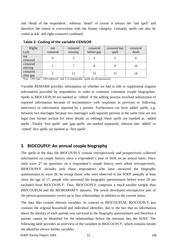and 'death of the respondent', whereas 'death' of course is always the 'last spell' and therefore the censor is overwritten with the former category. Certainly spells can also be coded as left- and right-censored combined.

| Right:<br>Left:       | not<br>censored | censored<br>missing | censored<br>before gap | censored last<br>spell | censored<br>death |
|-----------------------|-----------------|---------------------|------------------------|------------------------|-------------------|
| not<br>censored       |                 |                     |                        |                        | O                 |
| censored<br>missing   |                 |                     |                        |                        | 10                |
| censored<br>after gap |                 |                     | 12                     | 13                     | 14                |

**Table 2: Coding of the variable CENSOR**

Note: '(99) Gap', '(98) unknown' and '(-3) implausible' spells are all uncensored

Variable REMARK provides information on whether we had to edit or supplement original information provided by respondents in order to construct consistent couple biographies. Spells in BIOCOUPLM are marked as 'edited' if the editing process involved substitution of reported information because of inconsistence with responses in previous or following interviews or information reported by a partner. Furthermore we have added spells, e.g. between two marriages because two marriages with separate persons at the same time are not legal (see former section for more details on editing); these spells are marked as 'added spells'. Finally 'first spells' and 'gap spells' are marked separately, whereas also 'added' or 'edited' first spells are marked as 'first spells'.

## **5 BIOCOUPLY: An annual couple biography**

The spells in the data file BIOCOUPLY contain retrospectively and prospectively collected information on couple history since a respondent's year of birth on an annual basis. Since until wave 27 no questions on a respondent's couple history were asked retrospectively, BIOCOUPLY includes only those respondents who have answered the biography questionnaire in wave 28. So except those, who were observed in the SOEP annually at least since the age of 17, people who answered the biography questionnaire before wave 28 are excluded from BIOCOUPLY. Thus, BIOCOUPLY comprises a much smaller sample than BIOCOUPLM and the BIOMARSM/Y datasets. The newly developed retrospective part of the person questionnaire covers up to four relationships in addition to the current status.

The data files contain thirteen variables. In contrast to BIOCOUPLM, BIOCOUPLY just contains the original household and individual identifier, due to the fact that no information about the identity of each partner was surveyed in the biography questionnaire and therefore a partner cannot be identified for the relationships before the entrance into the SOEP. The following table provides an overview of the variables in BIOCOUPLY, which contains beside the identifier eleven further variables.

SOEP Survey Papers 1083 12 12 and 12 v36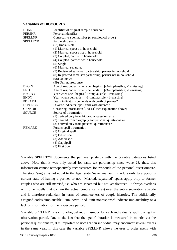#### **Variables of BIOCOUPLY**

| <b>HHNR</b><br><b>PERSNR</b><br><b>SPELLNR</b><br><b>SPELLTYP</b> | Identifier of original sample household<br>Personal identifier<br>Consecutive spell number (chronological order)<br>Partnership status<br>(-3) Implausible<br>(1) Married, spouse in household<br>(2) Married, spouse not in household<br>(3) Coupled, partner in household<br>(4) Coupled, partner not in household<br>$(5)$ Single<br>(6) Married, separated<br>(7) Registered same-sex partnership, partner in household<br>(8) Registered same-sex partnership, partner not in household<br>(98) Unknown<br>(99) Unit nonresponse |
|-------------------------------------------------------------------|---------------------------------------------------------------------------------------------------------------------------------------------------------------------------------------------------------------------------------------------------------------------------------------------------------------------------------------------------------------------------------------------------------------------------------------------------------------------------------------------------------------------------------------|
| <b>BEGIN</b>                                                      | Age of respondent when spell begins $[-3=$ implausible; $-1=$ missing]                                                                                                                                                                                                                                                                                                                                                                                                                                                                |
| <b>END</b>                                                        | Age of respondent when spell ends $[-3=$ implausible; $-1=$ missing]                                                                                                                                                                                                                                                                                                                                                                                                                                                                  |
| <b>BEGINY</b>                                                     | Year when spell begins $[-3=$ implausible; $-1=$ missing]                                                                                                                                                                                                                                                                                                                                                                                                                                                                             |
| <b>ENDY</b>                                                       | Year when spell ends $[-3=$ implausible; $-1=$ missing]                                                                                                                                                                                                                                                                                                                                                                                                                                                                               |
| <b>PDEATH</b>                                                     | Death indicator: spell ends with death of partner?                                                                                                                                                                                                                                                                                                                                                                                                                                                                                    |
| <b>DIVORCE</b>                                                    | Divorce indicator: spell ends with divorce?                                                                                                                                                                                                                                                                                                                                                                                                                                                                                           |
| <b>CENSOR</b>                                                     | Censoring information [0 to 14] (see explanation above)                                                                                                                                                                                                                                                                                                                                                                                                                                                                               |
| <b>SOURCE</b>                                                     | Source of information                                                                                                                                                                                                                                                                                                                                                                                                                                                                                                                 |
|                                                                   | (1) derived only from biography questionnaire                                                                                                                                                                                                                                                                                                                                                                                                                                                                                         |
|                                                                   | (2) derived from biography and personal questionnaire                                                                                                                                                                                                                                                                                                                                                                                                                                                                                 |
|                                                                   | (3) derived only from personal questionnaire                                                                                                                                                                                                                                                                                                                                                                                                                                                                                          |
| <b>REMARK</b>                                                     | Further spell information<br>(1) Original spell<br>(2) Edited spell<br>(3) Added spell<br>(4) Gap Spell<br>(5) First Spell                                                                                                                                                                                                                                                                                                                                                                                                            |

Variable SPELLTYP documents the partnership status with the possible categories listed above. Note that it was only asked for same-sex partnership since wave 28, thus, this information cannot retrospectively reconstructed for responds of the personal questionnaire. The state 'single' is not equal to the legal state 'never married'; it refers only to a person's current state of having a partner or not. 'Married, separated' spells apply only to former couples who are still married, i.e. who are separated but not yet divorced. It always overlaps with other spells that contain the actual couple status(es) over the entire separation episode and is therefore redundant in terms of completeness of couple histories. The additionally assigned codes 'implausible', 'unknown' and 'unit nonresponse' indicate implausibility or a lack of information for the respective period.

Variable SPELLNR is a chronological index number for each individual's spell during the observation period. Due to the fact that the spells' duration is measured in months via the personal questionnaire, it is important to note that an individual may encounter several events in the same year. In this case the variable SPELLNR allows the user to order spells with

SOEP Survey Papers 1083 13 13 V36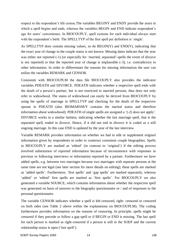respect to the respondent's life course.The variables BEGINY and ENDY provide the years in which a spell begins and ends, whereas the variables BEGIN and END indicate respondent's age for users' convenience. In BIOCOUPLY, spell systems for each individual always start with the respondent's birth. The SPELLTYP of the first spell per definition is 'single'.

As SPELLTYP does contain missing values, so do BEGIN(Y) and END(Y), indicating that the exact year of change in the couple status is not known. Missing dates indicate that the year was either not reported  $(-1)$  (or especially for 'married, separated'-spells the event of divorce is not reported) or that the reported year of change is implausible (-3), i.e. contradictory to other information. In order to differentiate the reasons for missing information the user can utilize the variables REMARK and CENSOR.

Consistent with BIOCOUPLM the data file BIOCOUPLY also provides the indicator variables PDEATH and DIVORCE. PDEATH indicates whether a respective spell ends with the death of a person's partner, but is not restricted to married persons, thus does not only refer to widowhood. The states of widowhood can easily be derived from BIOCOUPLY by using the spells of marriage in SPELLTYP and checking for the death of the respective spouse in PDEATH (also BIOMARSM/Y contains the marital status and therefore information about widowhood). PDEATH of single spells are assigned a '(-2) does not apply'. DIVORCE works in a similar fashion, indicating whether the last marriage spell, that is the separated spell, ended in divorce. Hence, if it did not end in divorce it is coded as a still ongoing marriage. In this case END is updated by the year of the last interview.

Variable REMARK provides information on whether we had to edit or supplement original information given by respondents in order to construct consistent couple biographies. Spells in BIOCOUPLY are marked as 'edited' (in contrast to 'original') if the editing process involved substitution of reported information because of inconsistence with responses in previous or following interviews or information reported by a partner. Furthermore we have added spells, e.g. between two marriages because two marriages with separate persons at the same time are not legal (see later section for more details on editing); these spells are marked as 'added spells'. Furthermore, 'first spells' and 'gap spells' are marked separately, whereas 'added' or 'edited' first spells are marked as 'first spells'. For BIOCOUPLY we also generated a variable SOURCE, which contains information about whether the respective spell was generated on basis of answers to the biography questionnaire or / and of responses to the personal questionnaire.

The variable CENSOR indicates whether a spell is left-censored, right- censored or censored on both sides (see Table 2 above within the explanations on BIOCOUPLM). The coding furthermore provides information on the reasons of censoring. In principle, spells might be censored if they precede or follow a gap spell or if BEGIN or END is missing. The last spell for each person is marked as right-censored if a person is still in the SOEP and the current relationship status is open ('last spell').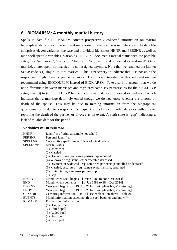### **6 BIOMARSM: A monthly marital history**

Spells in data file BIOMARSM contain prospectively collected information on marital biographies starting with the information reported in the first personal interview. The data file comprises eleven variables: the case and individual identifiers HHNR and PERSNR as well as nine spell specific variables. Variable SPELLTYP documents marital status with the possible categories 'unmarried', 'married', 'divorced', 'widowed' and 'divorced or widowed'. Once married, a later spell 'not married' is not assigned anymore. Note that we renamed the known SOEP code '(1) single' to 'not married'. This is necessary to indicate that it is possible the respondent might have a partner anyway. If you are interested in this information, we recommend using BIOCOUPLM instead of BIOMARSM. Take also into account that we do not differentiate between marriages and registered same-sex partnerships for the SPELLTYP categories (3) to (6). SPELLTYP has one additional category 'divorced or widowed' which indicates that a marriage definitely ended though we do not know whether via divorce or death of the spouse. This may be due to missing information from the biographical questionnaires or due to a respondent's frequent shifts between both categories without ever reporting the death of the partner or divorce as an event. A sixth state is 'gap' indicating a lack of reliable data for this period.

#### **Variables of BIOMARSM**

| <b>HHNR</b><br><b>PERSNR</b><br><b>SPELLNR</b><br><b>SPELLTYP</b> | Identifier of original sample household<br>Personal identifier<br>Consecutive spell number (chronological order)<br>Marital status<br>(1) Unmarried<br>(2) Married<br>(3) Divorced / reg. same-sex partnership annulled<br>(4) Widowed / reg. same-sex partnership deceased<br>(5) Divorced or widowed / reg. same-sex partnership annulled or deceased<br>(6) Married, separated / reg. same-sex partnership, separated<br>(7) Living in reg. same-sex partnership<br>$(9)$ Gap |
|-------------------------------------------------------------------|----------------------------------------------------------------------------------------------------------------------------------------------------------------------------------------------------------------------------------------------------------------------------------------------------------------------------------------------------------------------------------------------------------------------------------------------------------------------------------|
| <b>BEGIN</b>                                                      | Month when spell begins $[1=$ Jan 1983 to 384=Dec 2014]                                                                                                                                                                                                                                                                                                                                                                                                                          |
| <b>END</b><br><b>BEGINY</b>                                       | Month when spell ends $[1=$ Jan 1983 to 384=Dec 2014]<br>Year spell begins $[1983 \text{ to } 2014; -3=$ implausible; $-1=$ missing                                                                                                                                                                                                                                                                                                                                              |
| <b>ENDY</b>                                                       | Year spell begins $[1983 \text{ to } 2014; -3=$ implausible; $-1=$ missing                                                                                                                                                                                                                                                                                                                                                                                                       |
| <b>CENSOR</b>                                                     | Censoring information [0 to 14] (see explanation above, Table 2)                                                                                                                                                                                                                                                                                                                                                                                                                 |
| <b>EVENTS</b>                                                     | Month information: exact month of spell begin or end known?                                                                                                                                                                                                                                                                                                                                                                                                                      |
| <b>REMARK</b>                                                     | Further spell information                                                                                                                                                                                                                                                                                                                                                                                                                                                        |
|                                                                   | (1) Original spell<br>(2) Edited spell                                                                                                                                                                                                                                                                                                                                                                                                                                           |
|                                                                   | (3) Added spell                                                                                                                                                                                                                                                                                                                                                                                                                                                                  |
|                                                                   | (4) Gap Spell                                                                                                                                                                                                                                                                                                                                                                                                                                                                    |
|                                                                   | (5) First Spell                                                                                                                                                                                                                                                                                                                                                                                                                                                                  |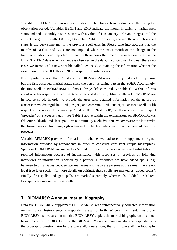Variable SPELLNR is a chronological index number for each individual's spells during the observation period. Variables BEGIN and END indicate the month in which a marital spell starts and ends. Monthly histories start with a value of 1 in January 1983 and ranges until the current margin in month 384, i.e., December 2014. In principle, the month in which a spell starts is the very same month the previous spell ends in. Please take into account that the months of BEGIN and END are not imputed when the exact month of the change in the familiar situation is not reported. Instead, in those cases the time of the interview is left as the BEGIN or END date when a change is observed in the data. To distinguish between these two cases we introduced a new variable called EVENTS, containing the information whether the exact month of the BEGIN or END of a spell is reported or not.

It is important to note that a 'first spell' in BIOMARSM is not the very first spell of a person, but the first observed marital status since the person is taking part in the SOEP. Accordingly, the first spell in BIOMARSM is almost always left-censored. Variable CENSOR informs about whether a spell is left- or right-censored and if so, why. Most spells in BIOMARSM are in fact censored. In order to provide the user with detailed information on the nature of censorship we distinguished 'left', 'right', and combined 'left- and right-censored spells' with respect to the reason for censoring: 'first spell' or 'last spell', 'spell ends with death', spell 'precedes' or 'succeeds a gap' (see Table 2 above within the explanations on BIOCOUPLM). Of course, 'death' and 'last spell' are not mutually exclusive, thus we overwrite the latter with the former reason for being right-censored if the last interview is in the year of death or precedes it.

Variable REMARK provides information on whether we had to edit or supplement original information provided by respondents in order to construct consistent couple biographies. Spells in BIOMARSM are marked as 'edited' if the editing process involved substitution of reported information because of inconsistence with responses in previous or following interviews or information reported by a partner. Furthermore we have added spells, e.g. between two marriages because two marriages with separate persons at the same time are not legal (see later section for more details on editing); these spells are marked as 'added spells'. Finally 'first spells' and 'gap spells' are marked separately, whereas also 'added' or 'edited' first spells are marked as 'first spells'.

## **7 BIOMARSY: A annual marital biography**

Data file BIOMARSY supplements BIOMARSM with retrospectively collected information on the marital history since a respondent's year of birth. Whereas the marital history in BIOMARSM is measured in months, BIOMARSY depicts the marital biography on an annual basis. In contrast to BIOCOUPLY the BIOMARSY data set contains also the respondents to the biography questionnaire before wave 28. Please note, that until wave 28 the biography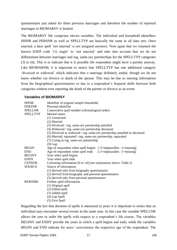questionnaire just asked for three previous marriages and therefore the number of reported marriages in BIOMARSY is limited.

The BIOMARSY file comprises eleven variables. The individual and household identifiers HHNR and PERSNR as well as SPELLTYP are basically the same in all data sets. Once married, a later spell 'not married' is not assigned anymore. Note again that we renamed the known SOEP code '(1) single' to 'not married' and take into account that we do not differentiate between marriages and reg. same-sex partnerships for the SPELLTYP categories (3) to (6). This is to indicate that it is possible the respondent might have a partner anyway. Like BIOMARSM, it is important to notice that SPELLTYP has one additional category 'divorced or widowed' which indicates that a marriage definitely ended, though we do not know whether via divorce or death of the spouse. This may be due to missing information from the biographical questionnaires or due to a respondent's frequent shifts between both categories without ever reporting the death of the partner or divorce as an event.

#### **Variables of BIOMARSY**

| <b>HHNR</b>     | Identifier of original sample household                                  |  |  |  |  |
|-----------------|--------------------------------------------------------------------------|--|--|--|--|
| <b>PERSNR</b>   | Personal identifier                                                      |  |  |  |  |
| <b>SPELLNR</b>  | Consecutive spell number (chronological order)                           |  |  |  |  |
| <b>SPELLTYP</b> | <b>Marital</b> status                                                    |  |  |  |  |
|                 | (1) Unmarried                                                            |  |  |  |  |
|                 | (2) Married                                                              |  |  |  |  |
|                 | (3) Divorced / reg. same-sex partnership annulled                        |  |  |  |  |
|                 | (4) Widowed / reg. same-sex partnership deceased                         |  |  |  |  |
|                 | (5) Divorced or widowed / reg. same-sex partnership annulled or deceased |  |  |  |  |
|                 | (6) Married, separated / reg. same-sex partnership, separated            |  |  |  |  |
|                 | (7) Living in reg. same-sex partnership                                  |  |  |  |  |
|                 | $(9)$ Gap                                                                |  |  |  |  |
| <b>BEGIN</b>    | Age of respondent when spell begins $[-3=$ implausible; $-1=$ missing]   |  |  |  |  |
| <b>END</b>      | Age of respondent when spell ends $[-3=$ implausible; $-1=$ missing]     |  |  |  |  |
| <b>BEGINY</b>   | Year when spell begins                                                   |  |  |  |  |
| <b>ENDY</b>     | Year when spell ends                                                     |  |  |  |  |
| <b>CENSOR</b>   | Censoring information [0 to 14] (see explanation above, Table 2)         |  |  |  |  |
| <b>SOURCE</b>   | Source of information                                                    |  |  |  |  |
|                 | (1) derived only from biography questionnaire                            |  |  |  |  |
|                 | (2) derived from biography and personal questionnaire                    |  |  |  |  |
|                 | (3) derived only from personal questionnaire                             |  |  |  |  |
| <b>REMARK</b>   | Further spell information                                                |  |  |  |  |
|                 | (1) Original spell                                                       |  |  |  |  |
|                 | (2) Edited spell                                                         |  |  |  |  |
|                 | (3) Added spell                                                          |  |  |  |  |
|                 | (4) Gap Spell                                                            |  |  |  |  |
|                 | (5) First Spell                                                          |  |  |  |  |

Regarding the fact that duration of spells is measured in years it is important to notice that an individual may encounter several events in the same year. In this case the variable SPELLNR allows the user to order the spells with respect to a respondent's life course. The variables BEGINY and ENDY provide the years in which a spell begins and ends, while the variables BEGIN and END indicate for users' convenience the respective age of the respondent. The

SOEP Survey Papers 1083 17 v36